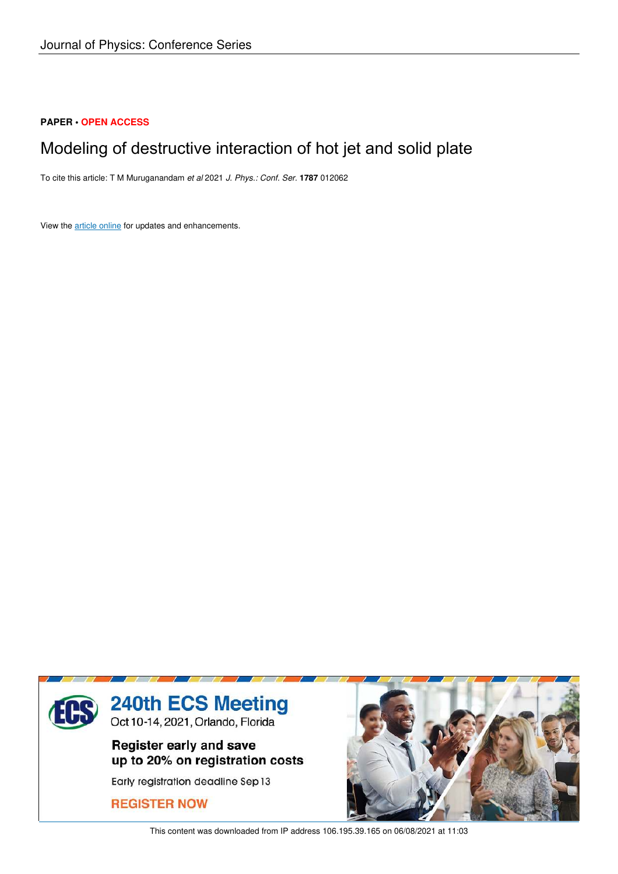## **PAPER • OPEN ACCESS**

## Modeling of destructive interaction of hot jet and solid plate

To cite this article: T M Muruganandam *et al* 2021 *J. Phys.: Conf. Ser.* **1787** 012062

View the article online for updates and enhancements.



This content was downloaded from IP address 106.195.39.165 on 06/08/2021 at 11:03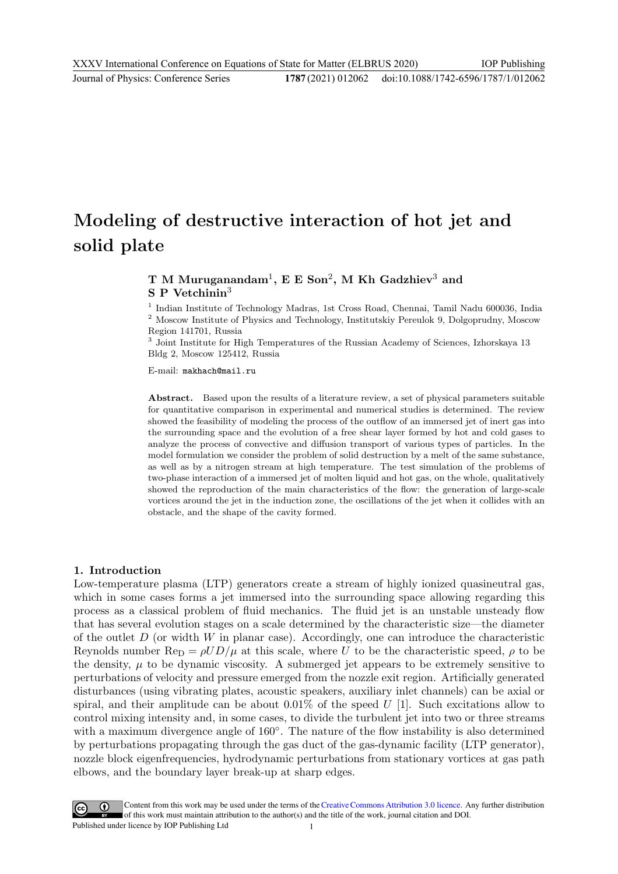# Modeling of destructive interaction of hot jet and solid plate

## T M Muruganandam $^1,$  E E Son $^2,$  M Kh Gadzhiev $^3$  and  $S$  P Vetchinin<sup>3</sup>

<sup>1</sup> Indian Institute of Technology Madras, 1st Cross Road, Chennai, Tamil Nadu 600036, India <sup>2</sup> Moscow Institute of Physics and Technology, Institutskiy Pereulok 9, Dolgoprudny, Moscow Region 141701, Russia

3 Joint Institute for High Temperatures of the Russian Academy of Sciences, Izhorskaya 13 Bldg 2, Moscow 125412, Russia

E-mail: makhach@mail.ru

Abstract. Based upon the results of a literature review, a set of physical parameters suitable for quantitative comparison in experimental and numerical studies is determined. The review showed the feasibility of modeling the process of the outflow of an immersed jet of inert gas into the surrounding space and the evolution of a free shear layer formed by hot and cold gases to analyze the process of convective and diffusion transport of various types of particles. In the model formulation we consider the problem of solid destruction by a melt of the same substance, as well as by a nitrogen stream at high temperature. The test simulation of the problems of two-phase interaction of a immersed jet of molten liquid and hot gas, on the whole, qualitatively showed the reproduction of the main characteristics of the flow: the generation of large-scale vortices around the jet in the induction zone, the oscillations of the jet when it collides with an obstacle, and the shape of the cavity formed.

#### 1. Introduction

Low-temperature plasma (LTP) generators create a stream of highly ionized quasineutral gas, which in some cases forms a jet immersed into the surrounding space allowing regarding this process as a classical problem of fluid mechanics. The fluid jet is an unstable unsteady flow that has several evolution stages on a scale determined by the characteristic size—the diameter of the outlet  $D$  (or width  $W$  in planar case). Accordingly, one can introduce the characteristic Reynolds number  $\text{Re}_{\text{D}} = \rho U D / \mu$  at this scale, where U to be the characteristic speed,  $\rho$  to be the density,  $\mu$  to be dynamic viscosity. A submerged jet appears to be extremely sensitive to perturbations of velocity and pressure emerged from the nozzle exit region. Artificially generated disturbances (using vibrating plates, acoustic speakers, auxiliary inlet channels) can be axial or spiral, and their amplitude can be about  $0.01\%$  of the speed U [1]. Such excitations allow to control mixing intensity and, in some cases, to divide the turbulent jet into two or three streams with a maximum divergence angle of 160°. The nature of the flow instability is also determined by perturbations propagating through the gas duct of the gas-dynamic facility (LTP generator), nozzle block eigenfrequencies, hydrodynamic perturbations from stationary vortices at gas path elbows, and the boundary layer break-up at sharp edges.

Content from this work may be used under the terms of theCreative Commons Attribution 3.0 licence. Any further distribution of this work must maintain attribution to the author(s) and the title of the work, journal citation and DOI. Published under licence by IOP Publishing Ltd 1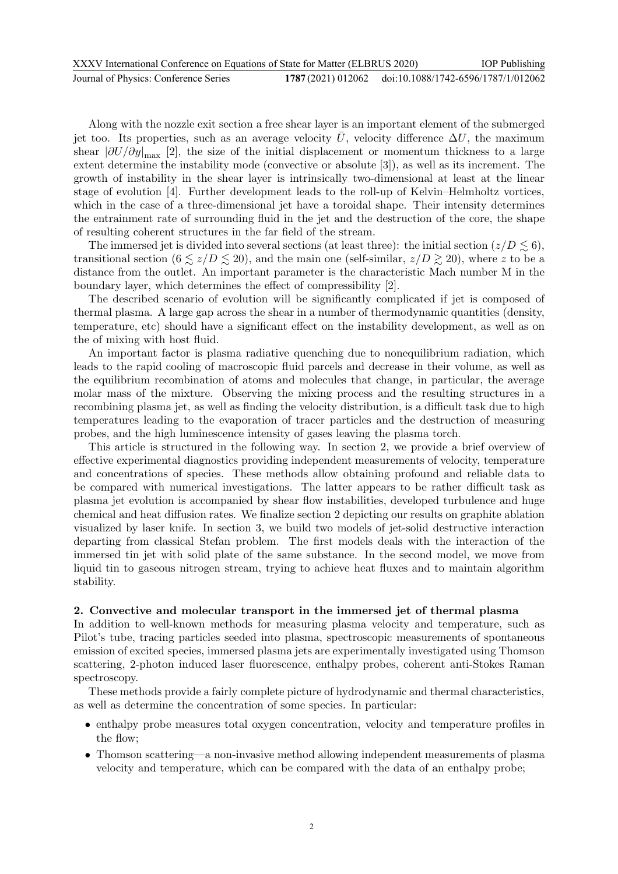| XXXV International Conference on Equations of State for Matter (ELBRUS 2020) |  | <b>IOP</b> Publishing                                  |
|------------------------------------------------------------------------------|--|--------------------------------------------------------|
| Journal of Physics: Conference Series                                        |  | 1787 (2021) 012062 doi:10.1088/1742-6596/1787/1/012062 |

Along with the nozzle exit section a free shear layer is an important element of the submerged jet too. Its properties, such as an average velocity  $\overline{U}$ , velocity difference  $\Delta U$ , the maximum shear  $|\partial U/\partial y|_{\text{max}}$  [2], the size of the initial displacement or momentum thickness to a large extent determine the instability mode (convective or absolute [3]), as well as its increment. The growth of instability in the shear layer is intrinsically two-dimensional at least at the linear stage of evolution [4]. Further development leads to the roll-up of Kelvin–Helmholtz vortices, which in the case of a three-dimensional jet have a toroidal shape. Their intensity determines the entrainment rate of surrounding fluid in the jet and the destruction of the core, the shape of resulting coherent structures in the far field of the stream.

The immersed jet is divided into several sections (at least three): the initial section  $(z/D \lesssim 6)$ , transitional section  $(6 \le z/D \le 20)$ , and the main one (self-similar,  $z/D \ge 20$ ), where z to be a distance from the outlet. An important parameter is the characteristic Mach number M in the boundary layer, which determines the effect of compressibility [2].

The described scenario of evolution will be significantly complicated if jet is composed of thermal plasma. A large gap across the shear in a number of thermodynamic quantities (density, temperature, etc) should have a significant effect on the instability development, as well as on the of mixing with host fluid.

An important factor is plasma radiative quenching due to nonequilibrium radiation, which leads to the rapid cooling of macroscopic fluid parcels and decrease in their volume, as well as the equilibrium recombination of atoms and molecules that change, in particular, the average molar mass of the mixture. Observing the mixing process and the resulting structures in a recombining plasma jet, as well as finding the velocity distribution, is a difficult task due to high temperatures leading to the evaporation of tracer particles and the destruction of measuring probes, and the high luminescence intensity of gases leaving the plasma torch.

This article is structured in the following way. In section 2, we provide a brief overview of effective experimental diagnostics providing independent measurements of velocity, temperature and concentrations of species. These methods allow obtaining profound and reliable data to be compared with numerical investigations. The latter appears to be rather difficult task as plasma jet evolution is accompanied by shear flow instabilities, developed turbulence and huge chemical and heat diffusion rates. We finalize section 2 depicting our results on graphite ablation visualized by laser knife. In section 3, we build two models of jet-solid destructive interaction departing from classical Stefan problem. The first models deals with the interaction of the immersed tin jet with solid plate of the same substance. In the second model, we move from liquid tin to gaseous nitrogen stream, trying to achieve heat fluxes and to maintain algorithm stability.

#### 2. Convective and molecular transport in the immersed jet of thermal plasma

In addition to well-known methods for measuring plasma velocity and temperature, such as Pilot's tube, tracing particles seeded into plasma, spectroscopic measurements of spontaneous emission of excited species, immersed plasma jets are experimentally investigated using Thomson scattering, 2-photon induced laser fluorescence, enthalpy probes, coherent anti-Stokes Raman spectroscopy.

These methods provide a fairly complete picture of hydrodynamic and thermal characteristics, as well as determine the concentration of some species. In particular:

- enthalpy probe measures total oxygen concentration, velocity and temperature profiles in the flow;
- Thomson scattering—a non-invasive method allowing independent measurements of plasma velocity and temperature, which can be compared with the data of an enthalpy probe;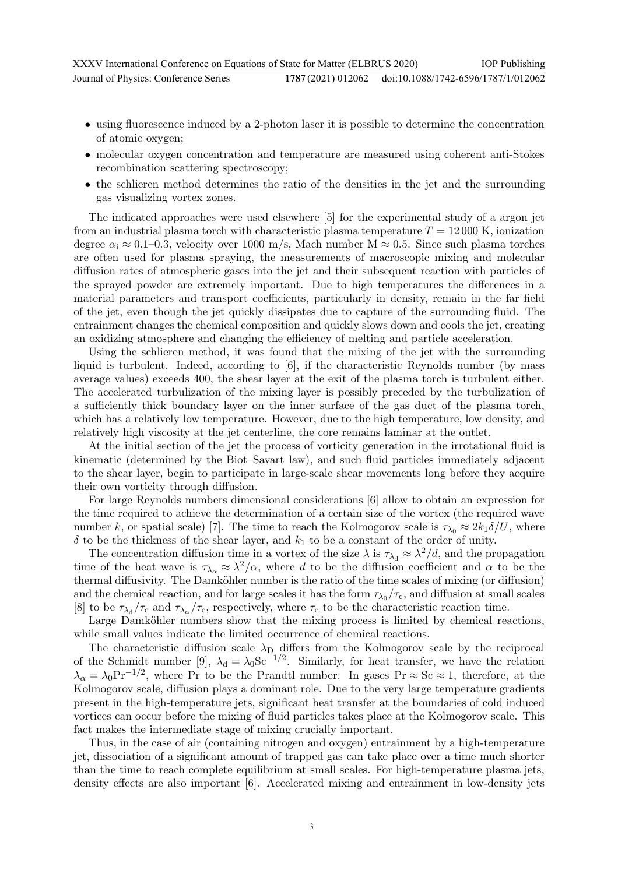- using fluorescence induced by a 2-photon laser it is possible to determine the concentration of atomic oxygen;
- molecular oxygen concentration and temperature are measured using coherent anti-Stokes recombination scattering spectroscopy;
- the schlieren method determines the ratio of the densities in the jet and the surrounding gas visualizing vortex zones.

The indicated approaches were used elsewhere [5] for the experimental study of a argon jet from an industrial plasma torch with characteristic plasma temperature  $T = 12000$  K, ionization degree  $\alpha_i \approx 0.1$ –0.3, velocity over 1000 m/s, Mach number M  $\approx 0.5$ . Since such plasma torches are often used for plasma spraying, the measurements of macroscopic mixing and molecular diffusion rates of atmospheric gases into the jet and their subsequent reaction with particles of the sprayed powder are extremely important. Due to high temperatures the differences in a material parameters and transport coefficients, particularly in density, remain in the far field of the jet, even though the jet quickly dissipates due to capture of the surrounding fluid. The entrainment changes the chemical composition and quickly slows down and cools the jet, creating an oxidizing atmosphere and changing the efficiency of melting and particle acceleration.

Using the schlieren method, it was found that the mixing of the jet with the surrounding liquid is turbulent. Indeed, according to [6], if the characteristic Reynolds number (by mass average values) exceeds 400, the shear layer at the exit of the plasma torch is turbulent either. The accelerated turbulization of the mixing layer is possibly preceded by the turbulization of a sufficiently thick boundary layer on the inner surface of the gas duct of the plasma torch, which has a relatively low temperature. However, due to the high temperature, low density, and relatively high viscosity at the jet centerline, the core remains laminar at the outlet.

At the initial section of the jet the process of vorticity generation in the irrotational fluid is kinematic (determined by the Biot–Savart law), and such fluid particles immediately adjacent to the shear layer, begin to participate in large-scale shear movements long before they acquire their own vorticity through diffusion.

For large Reynolds numbers dimensional considerations [6] allow to obtain an expression for the time required to achieve the determination of a certain size of the vortex (the required wave number k, or spatial scale) [7]. The time to reach the Kolmogorov scale is  $\tau_{\lambda_0} \approx 2k_1\delta/U$ , where  $\delta$  to be the thickness of the shear layer, and  $k_1$  to be a constant of the order of unity.

The concentration diffusion time in a vortex of the size  $\lambda$  is  $\tau_{\lambda_d} \approx \lambda^2/d$ , and the propagation time of the heat wave is  $\tau_{\lambda_{\alpha}} \approx \lambda^2/\alpha$ , where d to be the diffusion coefficient and  $\alpha$  to be the thermal diffusivity. The Damköhler number is the ratio of the time scales of mixing (or diffusion) and the chemical reaction, and for large scales it has the form  $\tau_{\lambda_0}/\tau_c$ , and diffusion at small scales [8] to be  $\tau_{\lambda_d}/\tau_c$  and  $\tau_{\lambda_\alpha}/\tau_c$ , respectively, where  $\tau_c$  to be the characteristic reaction time.

Large Damköhler numbers show that the mixing process is limited by chemical reactions, while small values indicate the limited occurrence of chemical reactions.

The characteristic diffusion scale  $\lambda_D$  differs from the Kolmogorov scale by the reciprocal of the Schmidt number [9],  $\lambda_d = \lambda_0 S_c^{-1/2}$ . Similarly, for heat transfer, we have the relation  $\lambda_{\alpha} = \lambda_0 \text{Pr}^{-1/2}$ , where Pr to be the Prandtl number. In gases Pr ≈ Sc ≈ 1, therefore, at the Kolmogorov scale, diffusion plays a dominant role. Due to the very large temperature gradients present in the high-temperature jets, significant heat transfer at the boundaries of cold induced vortices can occur before the mixing of fluid particles takes place at the Kolmogorov scale. This fact makes the intermediate stage of mixing crucially important.

Thus, in the case of air (containing nitrogen and oxygen) entrainment by a high-temperature jet, dissociation of a significant amount of trapped gas can take place over a time much shorter than the time to reach complete equilibrium at small scales. For high-temperature plasma jets, density effects are also important [6]. Accelerated mixing and entrainment in low-density jets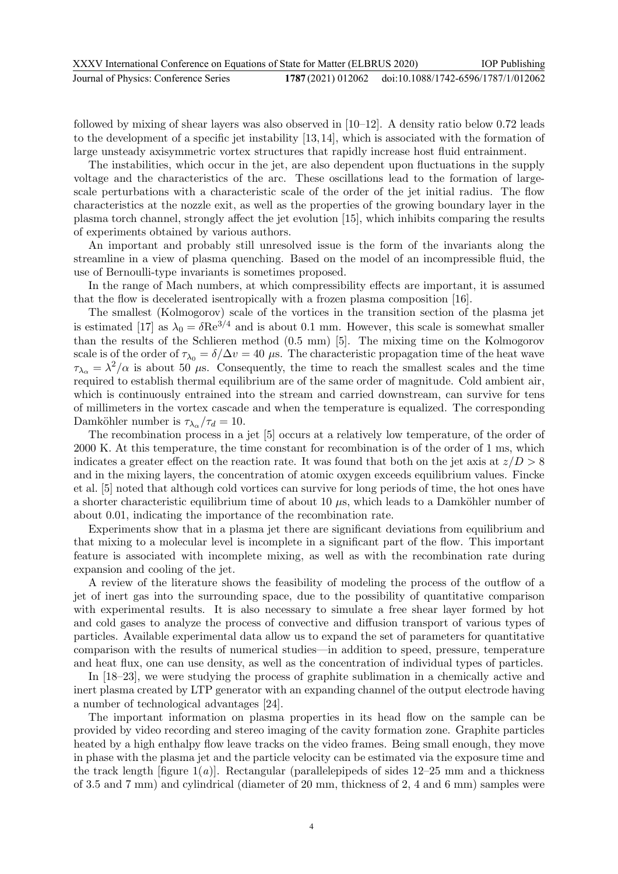followed by mixing of shear layers was also observed in  $[10-12]$ . A density ratio below 0.72 leads to the development of a specific jet instability [13, 14], which is associated with the formation of large unsteady axisymmetric vortex structures that rapidly increase host fluid entrainment.

The instabilities, which occur in the jet, are also dependent upon fluctuations in the supply voltage and the characteristics of the arc. These oscillations lead to the formation of largescale perturbations with a characteristic scale of the order of the jet initial radius. The flow characteristics at the nozzle exit, as well as the properties of the growing boundary layer in the plasma torch channel, strongly affect the jet evolution [15], which inhibits comparing the results of experiments obtained by various authors.

An important and probably still unresolved issue is the form of the invariants along the streamline in a view of plasma quenching. Based on the model of an incompressible fluid, the use of Bernoulli-type invariants is sometimes proposed.

In the range of Mach numbers, at which compressibility effects are important, it is assumed that the flow is decelerated isentropically with a frozen plasma composition [16].

The smallest (Kolmogorov) scale of the vortices in the transition section of the plasma jet is estimated [17] as  $\lambda_0 = \delta \text{Re}^{3/4}$  and is about 0.1 mm. However, this scale is somewhat smaller than the results of the Schlieren method (0.5 mm) [5]. The mixing time on the Kolmogorov scale is of the order of  $\tau_{\lambda_0} = \delta/\Delta v = 40 \mu$ s. The characteristic propagation time of the heat wave  $\tau_{\lambda_{\alpha}} = \lambda^2/\alpha$  is about 50 µs. Consequently, the time to reach the smallest scales and the time required to establish thermal equilibrium are of the same order of magnitude. Cold ambient air, which is continuously entrained into the stream and carried downstream, can survive for tens of millimeters in the vortex cascade and when the temperature is equalized. The corresponding Damköhler number is  $\tau_{\lambda_{\alpha}}/\tau_d = 10$ .

The recombination process in a jet [5] occurs at a relatively low temperature, of the order of 2000 K. At this temperature, the time constant for recombination is of the order of 1 ms, which indicates a greater effect on the reaction rate. It was found that both on the jet axis at  $z/D > 8$ and in the mixing layers, the concentration of atomic oxygen exceeds equilibrium values. Fincke et al. [5] noted that although cold vortices can survive for long periods of time, the hot ones have a shorter characteristic equilibrium time of about 10  $\mu$ s, which leads to a Damköhler number of about 0.01, indicating the importance of the recombination rate.

Experiments show that in a plasma jet there are significant deviations from equilibrium and that mixing to a molecular level is incomplete in a significant part of the flow. This important feature is associated with incomplete mixing, as well as with the recombination rate during expansion and cooling of the jet.

A review of the literature shows the feasibility of modeling the process of the outflow of a jet of inert gas into the surrounding space, due to the possibility of quantitative comparison with experimental results. It is also necessary to simulate a free shear layer formed by hot and cold gases to analyze the process of convective and diffusion transport of various types of particles. Available experimental data allow us to expand the set of parameters for quantitative comparison with the results of numerical studies—in addition to speed, pressure, temperature and heat flux, one can use density, as well as the concentration of individual types of particles.

In [18–23], we were studying the process of graphite sublimation in a chemically active and inert plasma created by LTP generator with an expanding channel of the output electrode having a number of technological advantages [24].

The important information on plasma properties in its head flow on the sample can be provided by video recording and stereo imaging of the cavity formation zone. Graphite particles heated by a high enthalpy flow leave tracks on the video frames. Being small enough, they move in phase with the plasma jet and the particle velocity can be estimated via the exposure time and the track length  $[\text{figure 1}(a)]$ . Rectangular (parallelepipeds of sides 12–25 mm and a thickness of 3.5 and 7 mm) and cylindrical (diameter of 20 mm, thickness of 2, 4 and 6 mm) samples were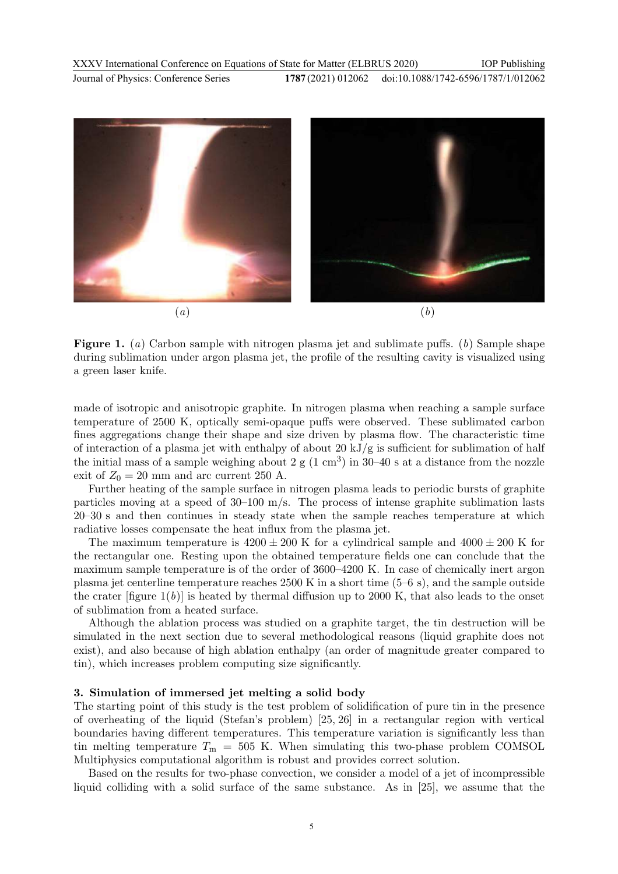

Figure 1. (*a*) Carbon sample with nitrogen plasma jet and sublimate puffs. (*b*) Sample shape during sublimation under argon plasma jet, the profile of the resulting cavity is visualized using a green laser knife.

made of isotropic and anisotropic graphite. In nitrogen plasma when reaching a sample surface temperature of 2500 K, optically semi-opaque puffs were observed. These sublimated carbon fines aggregations change their shape and size driven by plasma flow. The characteristic time of interaction of a plasma jet with enthalpy of about 20 kJ/g is sufficient for sublimation of half the initial mass of a sample weighing about 2  $\rm g$  (1 cm<sup>3</sup>) in 30–40 s at a distance from the nozzle exit of  $Z_0 = 20$  mm and arc current 250 A.

Further heating of the sample surface in nitrogen plasma leads to periodic bursts of graphite particles moving at a speed of 30–100 m/s. The process of intense graphite sublimation lasts 20–30 s and then continues in steady state when the sample reaches temperature at which radiative losses compensate the heat influx from the plasma jet.

The maximum temperature is  $4200 \pm 200$  K for a cylindrical sample and  $4000 \pm 200$  K for the rectangular one. Resting upon the obtained temperature fields one can conclude that the maximum sample temperature is of the order of 3600–4200 K. In case of chemically inert argon plasma jet centerline temperature reaches 2500 K in a short time (5–6 s), and the sample outside the crater  $[\text{figure 1}(b)]$  is heated by thermal diffusion up to 2000 K, that also leads to the onset of sublimation from a heated surface.

Although the ablation process was studied on a graphite target, the tin destruction will be simulated in the next section due to several methodological reasons (liquid graphite does not exist), and also because of high ablation enthalpy (an order of magnitude greater compared to tin), which increases problem computing size significantly.

#### 3. Simulation of immersed jet melting a solid body

The starting point of this study is the test problem of solidification of pure tin in the presence of overheating of the liquid (Stefan's problem) [25, 26] in a rectangular region with vertical boundaries having different temperatures. This temperature variation is significantly less than tin melting temperature  $T_{\text{m}} = 505$  K. When simulating this two-phase problem COMSOL Multiphysics computational algorithm is robust and provides correct solution.

Based on the results for two-phase convection, we consider a model of a jet of incompressible liquid colliding with a solid surface of the same substance. As in [25], we assume that the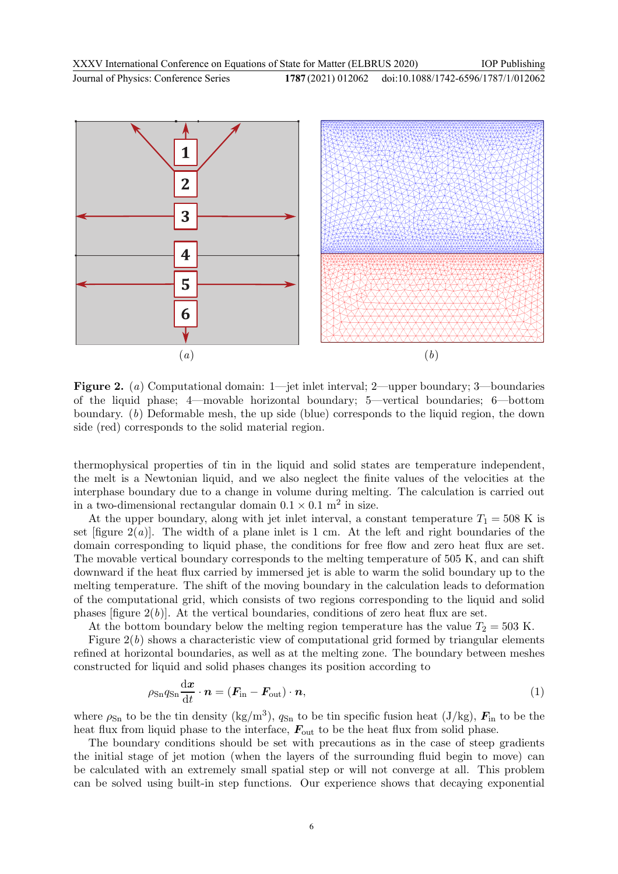

Figure 2. (a) Computational domain: 1—jet inlet interval; 2—upper boundary; 3—boundaries of the liquid phase; 4—movable horizontal boundary; 5—vertical boundaries; 6—bottom boundary. (b) Deformable mesh, the up side (blue) corresponds to the liquid region, the down side (red) corresponds to the solid material region.

thermophysical properties of tin in the liquid and solid states are temperature independent, the melt is a Newtonian liquid, and we also neglect the finite values of the velocities at the interphase boundary due to a change in volume during melting. The calculation is carried out in a two-dimensional rectangular domain  $0.1 \times 0.1$  m<sup>2</sup> in size.

At the upper boundary, along with jet inlet interval, a constant temperature  $T_1 = 508$  K is set  $[\text{figure } 2(a)]$ . The width of a plane inlet is 1 cm. At the left and right boundaries of the domain corresponding to liquid phase, the conditions for free flow and zero heat flux are set. The movable vertical boundary corresponds to the melting temperature of 505 K, and can shift downward if the heat flux carried by immersed jet is able to warm the solid boundary up to the melting temperature. The shift of the moving boundary in the calculation leads to deformation of the computational grid, which consists of two regions corresponding to the liquid and solid phases [figure  $2(b)$ ]. At the vertical boundaries, conditions of zero heat flux are set.

At the bottom boundary below the melting region temperature has the value  $T_2 = 503$  K.

Figure  $2(b)$  shows a characteristic view of computational grid formed by triangular elements refined at horizontal boundaries, as well as at the melting zone. The boundary between meshes constructed for liquid and solid phases changes its position according to

$$
\rho_{\rm Sn} q_{\rm Sn} \frac{\mathrm{d}x}{\mathrm{d}t} \cdot \boldsymbol{n} = (\boldsymbol{F}_{\rm in} - \boldsymbol{F}_{\rm out}) \cdot \boldsymbol{n},\tag{1}
$$

where  $\rho_{\rm Sn}$  to be the tin density (kg/m<sup>3</sup>),  $q_{\rm Sn}$  to be tin specific fusion heat (J/kg),  $\mathbf{F}_{\rm in}$  to be the heat flux from liquid phase to the interface,  $F_{\text{out}}$  to be the heat flux from solid phase.

The boundary conditions should be set with precautions as in the case of steep gradients the initial stage of jet motion (when the layers of the surrounding fluid begin to move) can be calculated with an extremely small spatial step or will not converge at all. This problem can be solved using built-in step functions. Our experience shows that decaying exponential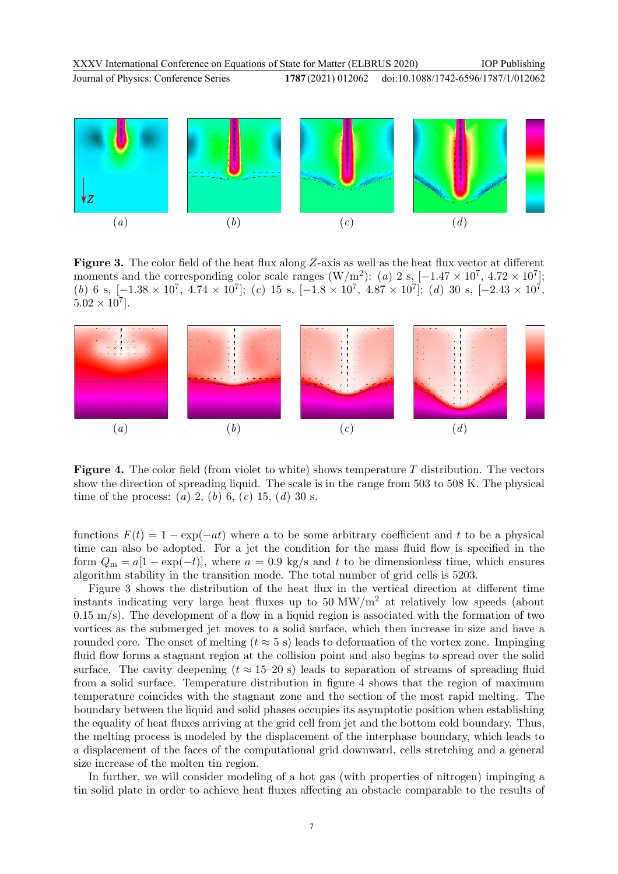

Figure 3. The color field of the heat flux along Z-axis as well as the heat flux vector at different moments and the corresponding color scale ranges  $(W/m^2)$ : (a) 2 s, [-1.47 × 10<sup>7</sup>, 4.72 × 10<sup>7</sup>]; (b) 6 s,  $[-1.38 \times 10^7, 4.74 \times 10^7]$ ; (c) 15 s,  $[-1.8 \times 10^7, 4.87 \times 10^7]$ ; (d) 30 s,  $[-2.43 \times 10^7,$  $5.02 \times 10^7$ .



**Figure 4.** The color field (from violet to white) shows temperature  $T$  distribution. The vectors show the direction of spreading liquid. The scale is in the range from 503 to 508 K. The physical time of the process: (a) 2, (b) 6, (c) 15, (d) 30 s.

functions  $F(t) = 1 - \exp(-at)$  where a to be some arbitrary coefficient and t to be a physical time can also be adopted. For a jet the condition for the mass fluid flow is specified in the form  $Q_m = a[1 - \exp(-t)]$ , where  $a = 0.9$  kg/s and t to be dimensionless time, which ensures algorithm stability in the transition mode. The total number of grid cells is 5203.

Figure 3 shows the distribution of the heat flux in the vertical direction at different time instants indicating very large heat fluxes up to  $50 \text{ MW/m}^2$  at relatively low speeds (about  $0.15 \text{ m/s}$ . The development of a flow in a liquid region is associated with the formation of two vortices as the submerged jet moves to a solid surface, which then increase in size and have a rounded core. The onset of melting ( $t \approx 5$  s) leads to deformation of the vortex zone. Impinging fluid flow forms a stagnant region at the collision point and also begins to spread over the solid surface. The cavity deepening ( $t \approx 15{\text -}20$  s) leads to separation of streams of spreading fluid from a solid surface. Temperature distribution in figure 4 shows that the region of maximum temperature coincides with the stagnant zone and the section of the most rapid melting. The boundary between the liquid and solid phases occupies its asymptotic position when establishing the equality of heat fluxes arriving at the grid cell from jet and the bottom cold boundary. Thus, the melting process is modeled by the displacement of the interphase boundary, which leads to a displacement of the faces of the computational grid downward, cells stretching and a general size increase of the molten tin region.

In further, we will consider modeling of a hot gas (with properties of nitrogen) impinging a tin solid plate in order to achieve heat fluxes affecting an obstacle comparable to the results of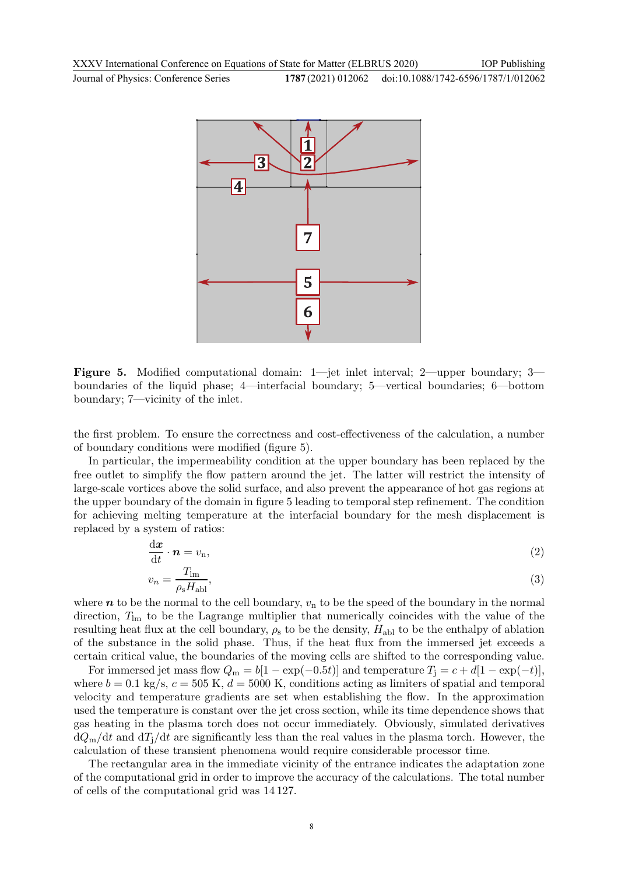

Figure 5. Modified computational domain: 1—jet inlet interval; 2—upper boundary; 3 boundaries of the liquid phase; 4—interfacial boundary; 5—vertical boundaries; 6—bottom boundary; 7—vicinity of the inlet.

the first problem. To ensure the correctness and cost-effectiveness of the calculation, a number of boundary conditions were modified (figure 5).

In particular, the impermeability condition at the upper boundary has been replaced by the free outlet to simplify the flow pattern around the jet. The latter will restrict the intensity of large-scale vortices above the solid surface, and also prevent the appearance of hot gas regions at the upper boundary of the domain in figure 5 leading to temporal step refinement. The condition for achieving melting temperature at the interfacial boundary for the mesh displacement is replaced by a system of ratios:

$$
\frac{\mathrm{d}x}{\mathrm{d}t} \cdot \boldsymbol{n} = v_{\rm n},\tag{2}
$$

$$
v_n = \frac{T_{\text{lm}}}{\rho_s H_{\text{abl}}},\tag{3}
$$

where  $n$  to be the normal to the cell boundary,  $v_n$  to be the speed of the boundary in the normal direction,  $T_{lm}$  to be the Lagrange multiplier that numerically coincides with the value of the resulting heat flux at the cell boundary,  $\rho_s$  to be the density,  $H_{\text{abl}}$  to be the enthalpy of ablation of the substance in the solid phase. Thus, if the heat flux from the immersed jet exceeds a certain critical value, the boundaries of the moving cells are shifted to the corresponding value.

For immersed jet mass flow  $Q_m = b[1 - \exp(-0.5t)]$  and temperature  $T_j = c + d[1 - \exp(-t)],$ where  $b = 0.1$  kg/s,  $c = 505$  K,  $d = 5000$  K, conditions acting as limiters of spatial and temporal velocity and temperature gradients are set when establishing the flow. In the approximation used the temperature is constant over the jet cross section, while its time dependence shows that gas heating in the plasma torch does not occur immediately. Obviously, simulated derivatives  $dQ_m/dt$  and  $dT_j/dt$  are significantly less than the real values in the plasma torch. However, the calculation of these transient phenomena would require considerable processor time.

The rectangular area in the immediate vicinity of the entrance indicates the adaptation zone of the computational grid in order to improve the accuracy of the calculations. The total number of cells of the computational grid was 14 127.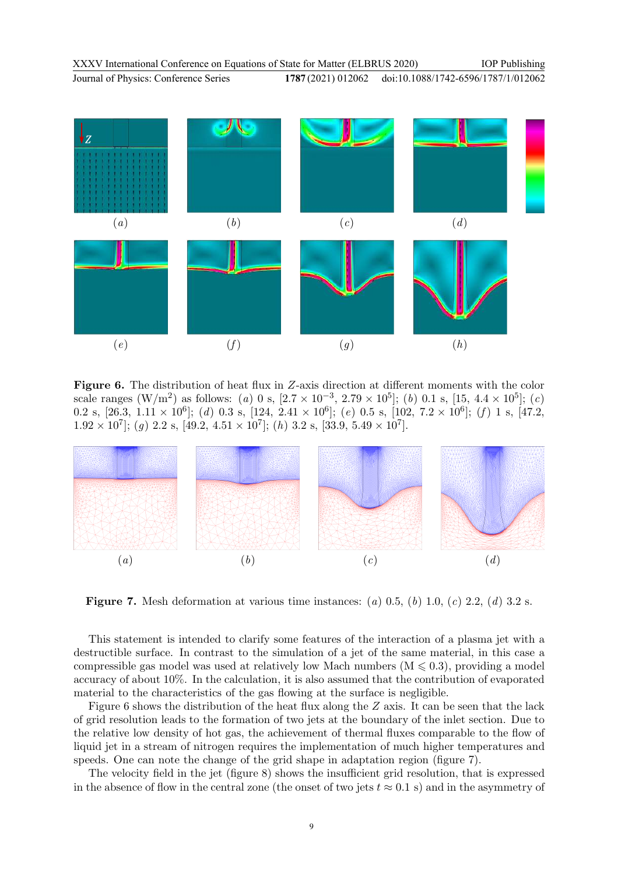doi:10.1088/1742-6596/1787/1/012062



**Figure 6.** The distribution of heat flux in Z-axis direction at different moments with the color scale ranges  $(W/m^2)$  as follows: (a) 0 s,  $[2.7 \times 10^{-3}, 2.79 \times 10^5]$ ; (b) 0.1 s,  $[15, 4.4 \times 10^5]$ ; (c) 0.2 s,  $[26.3, 1.11 \times 10^6]$ ; (d) 0.3 s,  $[124, 2.41 \times 10^6]$ ; (e) 0.5 s,  $[102, 7.2 \times 10^6]$ ; (f) 1 s,  $[47.2,$  $1.92 \times 10^7$ ; (g) 2.2 s, [49.2, 4.51  $\times 10^7$ ; (h) 3.2 s, [33.9, 5.49  $\times 10^7$ ].



**Figure 7.** Mesh deformation at various time instances: (a) 0.5, (b) 1.0, (c) 2.2, (d) 3.2 s.

This statement is intended to clarify some features of the interaction of a plasma jet with a destructible surface. In contrast to the simulation of a jet of the same material, in this case a compressible gas model was used at relatively low Mach numbers  $(M \leq 0.3)$ , providing a model accuracy of about 10%. In the calculation, it is also assumed that the contribution of evaporated material to the characteristics of the gas flowing at the surface is negligible.

Figure 6 shows the distribution of the heat flux along the Z axis. It can be seen that the lack of grid resolution leads to the formation of two jets at the boundary of the inlet section. Due to the relative low density of hot gas, the achievement of thermal fluxes comparable to the flow of liquid jet in a stream of nitrogen requires the implementation of much higher temperatures and speeds. One can note the change of the grid shape in adaptation region (figure 7).

The velocity field in the jet (figure 8) shows the insufficient grid resolution, that is expressed in the absence of flow in the central zone (the onset of two jets  $t \approx 0.1$  s) and in the asymmetry of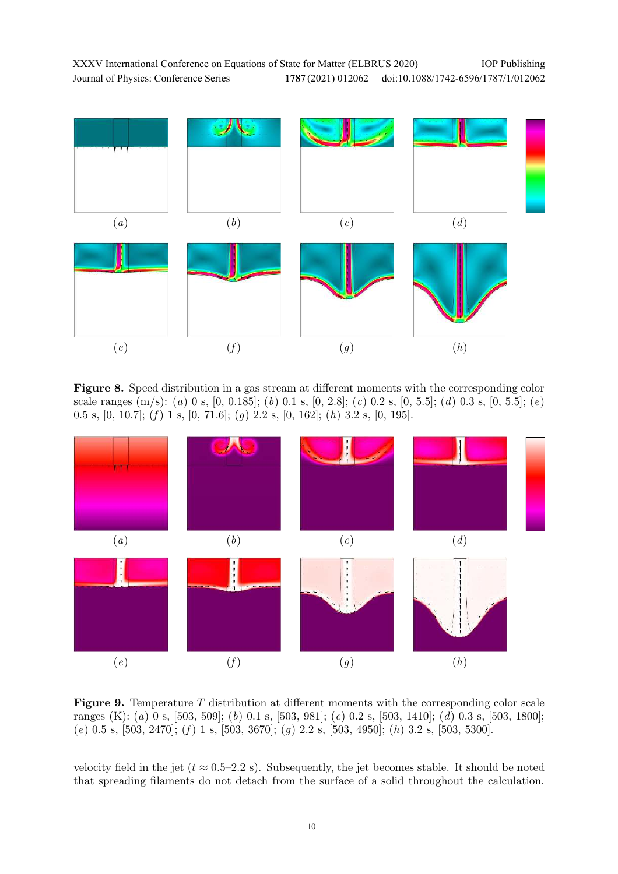$(a)$   $(b)$   $(c)$   $(d)$  $(e)$   $(f)$   $(g)$   $(h)$ 

Figure 8. Speed distribution in a gas stream at different moments with the corresponding color scale ranges (m/s): (a) 0 s, [0, 0.185]; (b) 0.1 s, [0, 2.8]; (c) 0.2 s, [0, 5.5]; (d) 0.3 s, [0, 5.5]; (e) 0.5 s, [0, 10.7]; (f) 1 s, [0, 71.6]; (q) 2.2 s, [0, 162]; (h) 3.2 s, [0, 195].



**Figure 9.** Temperature  $T$  distribution at different moments with the corresponding color scale ranges (K): (a) 0 s, [503, 509]; (b) 0.1 s, [503, 981]; (c) 0.2 s, [503, 1410]; (d) 0.3 s, [503, 1800]; (e) 0.5 s, [503, 2470]; (f) 1 s, [503, 3670]; (g) 2.2 s, [503, 4950]; (h) 3.2 s, [503, 5300].

velocity field in the jet ( $t \approx 0.5-2.2$  s). Subsequently, the jet becomes stable. It should be noted that spreading filaments do not detach from the surface of a solid throughout the calculation.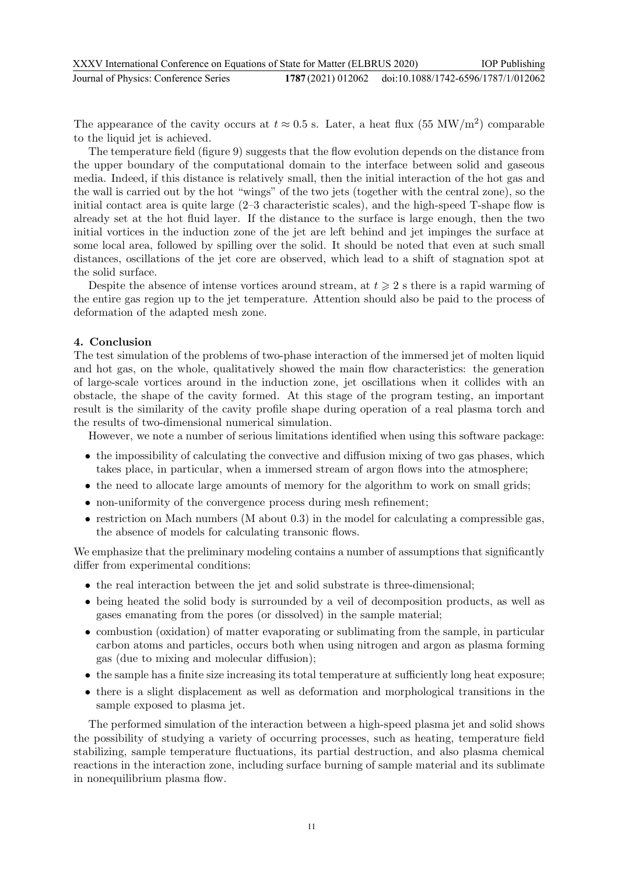| XXXV International Conference on Equations of State for Matter (ELBRUS 2020) |  | <b>IOP</b> Publishing                                  |
|------------------------------------------------------------------------------|--|--------------------------------------------------------|
| Journal of Physics: Conference Series                                        |  | 1787 (2021) 012062 doi:10.1088/1742-6596/1787/1/012062 |

The appearance of the cavity occurs at  $t \approx 0.5$  s. Later, a heat flux (55 MW/m<sup>2</sup>) comparable to the liquid jet is achieved.

The temperature field (figure 9) suggests that the flow evolution depends on the distance from the upper boundary of the computational domain to the interface between solid and gaseous media. Indeed, if this distance is relatively small, then the initial interaction of the hot gas and the wall is carried out by the hot "wings" of the two jets (together with the central zone), so the initial contact area is quite large (2–3 characteristic scales), and the high-speed T-shape flow is already set at the hot fluid layer. If the distance to the surface is large enough, then the two initial vortices in the induction zone of the jet are left behind and jet impinges the surface at some local area, followed by spilling over the solid. It should be noted that even at such small distances, oscillations of the jet core are observed, which lead to a shift of stagnation spot at the solid surface.

Despite the absence of intense vortices around stream, at  $t \geqslant 2$  s there is a rapid warming of the entire gas region up to the jet temperature. Attention should also be paid to the process of deformation of the adapted mesh zone.

#### 4. Conclusion

The test simulation of the problems of two-phase interaction of the immersed jet of molten liquid and hot gas, on the whole, qualitatively showed the main flow characteristics: the generation of large-scale vortices around in the induction zone, jet oscillations when it collides with an obstacle, the shape of the cavity formed. At this stage of the program testing, an important result is the similarity of the cavity profile shape during operation of a real plasma torch and the results of two-dimensional numerical simulation.

However, we note a number of serious limitations identified when using this software package:

- the impossibility of calculating the convective and diffusion mixing of two gas phases, which takes place, in particular, when a immersed stream of argon flows into the atmosphere;
- the need to allocate large amounts of memory for the algorithm to work on small grids;
- non-uniformity of the convergence process during mesh refinement;
- $\bullet$  restriction on Mach numbers (M about 0.3) in the model for calculating a compressible gas, the absence of models for calculating transonic flows.

We emphasize that the preliminary modeling contains a number of assumptions that significantly differ from experimental conditions:

- the real interaction between the jet and solid substrate is three-dimensional;
- being heated the solid body is surrounded by a veil of decomposition products, as well as gases emanating from the pores (or dissolved) in the sample material;
- combustion (oxidation) of matter evaporating or sublimating from the sample, in particular carbon atoms and particles, occurs both when using nitrogen and argon as plasma forming gas (due to mixing and molecular diffusion);
- the sample has a finite size increasing its total temperature at sufficiently long heat exposure;
- there is a slight displacement as well as deformation and morphological transitions in the sample exposed to plasma jet.

The performed simulation of the interaction between a high-speed plasma jet and solid shows the possibility of studying a variety of occurring processes, such as heating, temperature field stabilizing, sample temperature fluctuations, its partial destruction, and also plasma chemical reactions in the interaction zone, including surface burning of sample material and its sublimate in nonequilibrium plasma flow.